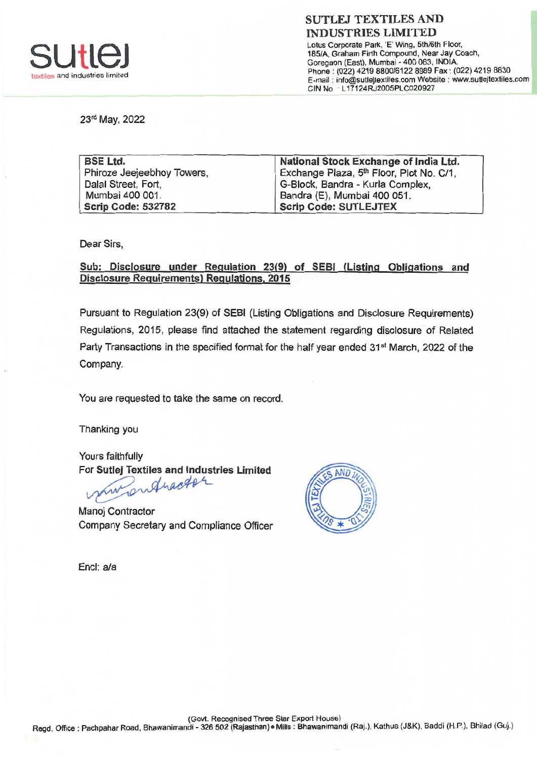

Lotus Corporate Park, 'E' Wing, 5th/6th Floor, 185/A, Graham Firth Compound, Near Jay Coach, Goregaon (East), Mumbai - 400 063, INDIA. Phone: (022) 4219 8800/6122 8989 Fax: (022) 4219 8830 E-mail info@sutlejtextiles.com Website : www.sutlejtextiles.com CIN No L17124RJ2005PLCO20927

23rd May, 2022

| <b>BSE Ltd.</b>            | National Stock Exchange of India Ltd.                |
|----------------------------|------------------------------------------------------|
| Phiroze Jeejeebhoy Towers, | Exchange Plaza, 5 <sup>th</sup> Floor, Plot No. C/1, |
| Dalal Street, Fort,        | G-Block, Bandra - Kurla Complex,                     |
| Mumbai 400 001.            | Bandra (E), Mumbai 400 051.                          |
| <b>Scrip Code: 532782</b>  | <b>Scrip Code: SUTLEJTEX</b>                         |

Dear Sirs,

Sub: Disclosure under Regulation 23(9) of SEBI (Listing Obligations and Disclosure Requirements) Regulations, 2015

Pursuant to Regulation 23(9) of SEBI (Listing Obligations and Disclosure Requirements) Regulations, 2015, please find attached the statement regarding disclosure of Related Party Transactions in the specified format for the half year ended 31<sup>st</sup> March, 2022 of the Company.

You are requested to take the same on record.

Thanking you

Yours faithfully

For Sutlej Textiles and Industries Limited<br>
Mulhacht

Manoj Contractor Company Secretary and Compliance Officer



Encl: a/a